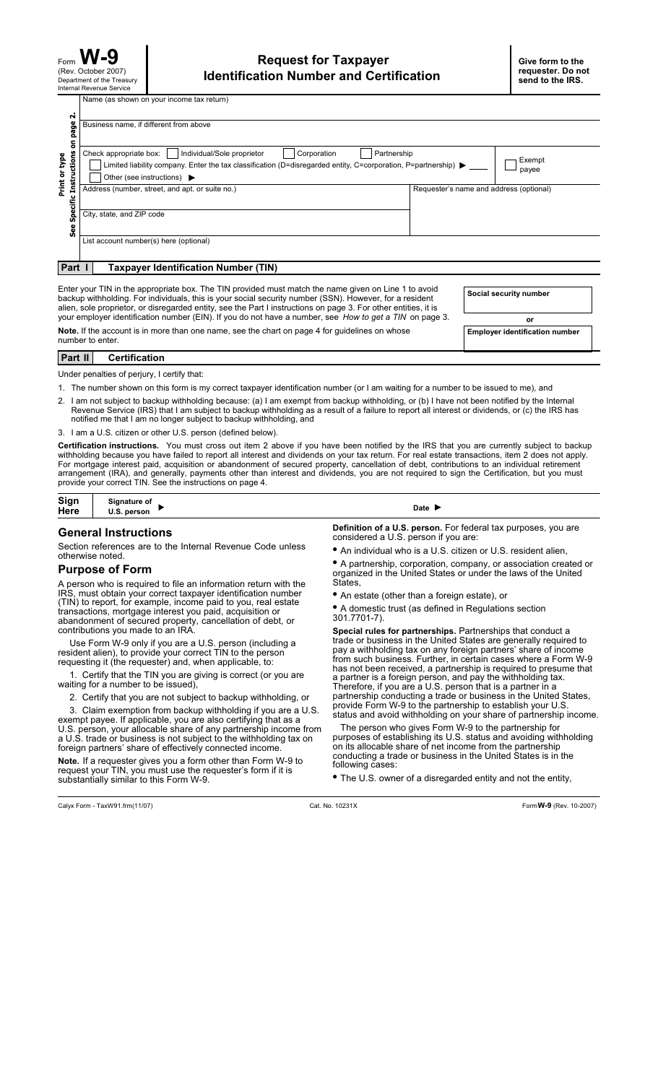Department of the Treasury Internal Revenue Service Form (Rev. October 2007)

Name (as shown on your income tax return)

|                                                                                                                                                                                                                                                                                                                                                              | page<br>Business name, if different from above                                                                                                                                                                                                                             |                                         |  |  |
|--------------------------------------------------------------------------------------------------------------------------------------------------------------------------------------------------------------------------------------------------------------------------------------------------------------------------------------------------------------|----------------------------------------------------------------------------------------------------------------------------------------------------------------------------------------------------------------------------------------------------------------------------|-----------------------------------------|--|--|
| $\overline{5}$<br>c Instructions<br>type<br>Print or                                                                                                                                                                                                                                                                                                         | Individual/Sole proprietor<br>Check appropriate box:<br>Corporation<br>Partnership<br>Limited liability company. Enter the tax classification (D=disregarded entity, C=corporation, P=partnership) $\blacktriangleright$<br>Other (see instructions) $\blacktriangleright$ | Exempt<br>payee                         |  |  |
| Specifi<br>See                                                                                                                                                                                                                                                                                                                                               | Address (number, street, and apt. or suite no.)<br>City, state, and ZIP code                                                                                                                                                                                               | Requester's name and address (optional) |  |  |
| Part                                                                                                                                                                                                                                                                                                                                                         | List account number(s) here (optional)<br><b>Taxpayer Identification Number (TIN)</b>                                                                                                                                                                                      |                                         |  |  |
| Enter your TIN in the appropriate box. The TIN provided must match the name given on Line 1 to avoid<br>Social security number<br>backup withholding. For individuals, this is your social security number (SSN). However, for a resident<br>alien, sole proprietor, or disregarded entity, see the Part I instructions on page 3. For other entities, it is |                                                                                                                                                                                                                                                                            |                                         |  |  |
|                                                                                                                                                                                                                                                                                                                                                              | your employer identification number (EIN). If you do not have a number, see How to get a TIN on page 3.                                                                                                                                                                    | or                                      |  |  |

**Note.** If the account is in more than one name, see the chart on page 4 for guidelines on whose **Employer identification number** number to enter.

# **Part II Certification**

Under penalties of perjury, I certify that:

1. The number shown on this form is my correct taxpayer identification number (or I am waiting for a number to be issued to me), and

- 2. I am not subject to backup withholding because: (a) I am exempt from backup withholding, or (b) I have not been notified by the Internal Revenue Service (IRS) that I am subject to backup withholding as a result of a failure to report all interest or dividends, or (c) the IRS has notified me that I am no longer subject to backup withholding, and
- 3. I am a U.S. citizen or other U.S. person (defined below).

Certification instructions. You must cross out item 2 above if you have been notified by the IRS that you are currently subject to backup withholding because you have failed to report all interest and dividends on your tax return. For real estate transactions, item 2 does not apply. For mortgage interest paid, acquisition or abandonment of secured property, cancellation of debt, contributions to an individual retirement arrangement (IRA), and generally, payments other than interest and dividends, you are not required to sign the Certification, but you must provide your correct TIN. See the instructions on page 4.

| Sign<br>Here | Signature of<br>U.S. person | Date |
|--------------|-----------------------------|------|
|              |                             |      |

### **General Instructions**

Section references are to the Internal Revenue Code unless otherwise noted.

#### **Purpose of Form**

A person who is required to file an information return with the IRS, must obtain your correct taxpayer identification number (TIN) to report, for example, income paid to you, real estate transactions, mortgage interest you paid, acquisition or abandonment of secured property, cancellation of debt, or contributions you made to an IRA.

Use Form W-9 only if you are a U.S. person (including a resident alien), to provide your correct TIN to the person requesting it (the requester) and, when applicable, to:

1. Certify that the TIN you are giving is correct (or you are waiting for a number to be issued),

2. Certify that you are not subject to backup withholding, or

3. Claim exemption from backup withholding if you are a U.S.

exempt payee. If applicable, you are also certifying that as a U.S. person, your allocable share of any partnership income from a U.S. trade or business is not subject to the withholding tax on foreign partners' share of effectively connected income.

Note. If a requester gives you a form other than Form W-9 to request your TIN, you must use the requester's form if it is substantially similar to this Form W-9.

Definition of a U.S. person. For federal tax purposes, you are considered a U.S. person if you are:

An individual who is a U.S. citizen or U.S. resident alien, **•**

A partnership, corporation, company, or association created or • A partnership, corporation, company, or association created<br>organized in the United States or under the laws of the United States,

An estate (other than a foreign estate), or **•**

A domestic trust (as defined in Regulations section **•** 301.7701-7).

Special rules for partnerships. Partnerships that conduct a trade or business in the United States are generally required to pay a withholding tax on any foreign partners' share of income from such business. Further, in certain cases where a Form W-9 has not been received, a partnership is required to presume that a partner is a foreign person, and pay the withholding tax. Therefore, if you are a U.S. person that is a partner in a partnership conducting a trade or business in the United States, provide Form W-9 to the partnership to establish your U.S. status and avoid withholding on your share of partnership income.

The person who gives Form W-9 to the partnership for purposes of establishing its U.S. status and avoiding withholding on its allocable share of net income from the partnership conducting a trade or business in the United States is in the following cases:

The U.S. owner of a disregarded entity and not the entity, **•**

Calyx Form - TaxW91.frm(11/07) Cat. No. 10231X Form (Rev. 10-2007) **W-9**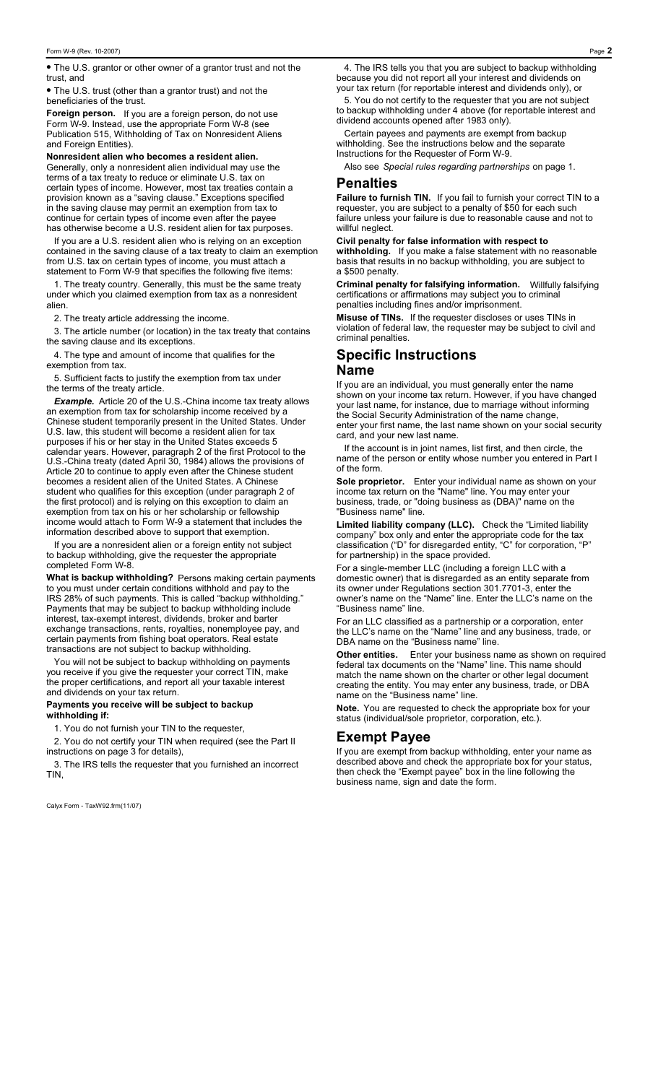The U.S. grantor or other owner of a grantor trust and not the **•** trust, and

The U.S. trust (other than a grantor trust) and not the **•** beneficiaries of the trust.

If you are a foreign person, do not use Form W-9. Instead, use the appropriate Form W-8 (see Publication 515, Withholding of Tax on Nonresident Aliens and Foreign Entities). **Foreign person.**

Generally, only a nonresident alien individual may use the terms of a tax treaty to reduce or eliminate U.S. tax on certain types of income. However, most tax treaties contain a provision known as a "saving clause." Exceptions specified in the saving clause may permit an exemption from tax to continue for certain types of income even after the payee has otherwise become a U.S. resident alien for tax purposes. **Nonresident alien who becomes a resident alien.**

If you are a U.S. resident alien who is relying on an exception contained in the saving clause of a tax treaty to claim an exemption from U.S. tax on certain types of income, you must attach a statement to Form W-9 that specifies the following five items:

1. The treaty country. Generally, this must be the same treaty under which you claimed exemption from tax as a nonresident alien.

2. The treaty article addressing the income.

3. The article number (or location) in the tax treaty that contains the saving clause and its exceptions.

4. The type and amount of income that qualifies for the exemption from tax.

5. Sufficient facts to justify the exemption from tax under the terms of the treaty article.

Example. Article 20 of the U.S.-China income tax treaty allows an exemption from tax for scholarship income received by a Chinese student temporarily present in the United States. Under U.S. law, this student will become a resident alien for tax purposes if his or her stay in the United States exceeds 5 calendar years. However, paragraph 2 of the first Protocol to the U.S.-China treaty (dated April 30, 1984) allows the provisions of Article 20 to continue to apply even after the Chinese student becomes a resident alien of the United States. A Chinese student who qualifies for this exception (under paragraph 2 of the first protocol) and is relying on this exception to claim an exemption from tax on his or her scholarship or fellowship income would attach to Form W-9 a statement that includes the information described above to support that exemption.

If you are a nonresident alien or a foreign entity not subject to backup withholding, give the requester the appropriate completed Form W-8.

**What is backup withholding?** Persons making certain payments to you must under certain conditions withhold and pay to the IRS 28% of such payments. This is called "backup withholding." Payments that may be subject to backup withholding include interest, tax-exempt interest, dividends, broker and barter exchange transactions, rents, royalties, nonemployee pay, and certain payments from fishing boat operators. Real estate transactions are not subject to backup withholding.

You will not be subject to backup withholding on payments you receive if you give the requester your correct TIN, make the proper certifications, and report all your taxable interest and dividends on your tax return.

#### **Payments you receive will be subject to backup withholding if:**

1. You do not furnish your TIN to the requester,

2. You do not certify your TIN when required (see the Part II instructions on page 3 for details),

3. The IRS tells the requester that you furnished an incorrect TIN,

Calyx Form - TaxW92.frm(11/07)

4. The IRS tells you that you are subject to backup withholding because you did not report all your interest and dividends on your tax return (for reportable interest and dividends only), or

5. You do not certify to the requester that you are not subject to backup withholding under 4 above (for reportable interest and dividend accounts opened after 1983 only).

Certain payees and payments are exempt from backup withholding. See the instructions below and the separate Instructions for the Requester of Form W-9.

Also see Special rules regarding partnerships on page 1.

# **Penalties**

If you fail to furnish your correct TIN to a requester, you are subject to a penalty of \$50 for each such failure unless your failure is due to reasonable cause and not to willful neglect. **Failure to furnish TIN.**

#### **Civil penalty for false information with respect to**

If you make a false statement with no reasonable basis that results in no backup withholding, you are subject to a \$500 penalty. **withholding.**

**Criminal penalty for falsifying information.** Willfully falsifying certifications or affirmations may subject you to criminal penalties including fines and/or imprisonment.

**Misuse of TINs.** If the requester discloses or uses TINs in violation of federal law, the requester may be subject to civil and criminal penalties.

# **Specific Instructions Name**

If you are an individual, you must generally enter the name shown on your income tax return. However, if you have changed your last name, for instance, due to marriage without informing the Social Security Administration of the name change, enter your first name, the last name shown on your social security card, and your new last name.

If the account is in joint names, list first, and then circle, the name of the person or entity whose number you entered in Part I of the form.

Enter your individual name as shown on your income tax return on the "Name" line. You may enter your business, trade, or "doing business as (DBA)" name on the "Business name" line. **Sole proprietor.**

Check the "Limited liability company" box only and enter the appropriate code for the tax classification ("D" for disregarded entity, "C" for corporation, "P" for partnership) in the space provided. **Limited liability company (LLC).**

For a single-member LLC (including a foreign LLC with a domestic owner) that is disregarded as an entity separate from its owner under Regulations section 301.7701-3, enter the owner's name on the "Name" line. Enter the LLC's name on the "Business name" line.

For an LLC classified as a partnership or a corporation, enter the LLC's name on the "Name" line and any business, trade, or DBA name on the "Business name" line.

Enter your business name as shown on required federal tax documents on the "Name" line. This name should match the name shown on the charter or other legal document creating the entity. You may enter any business, trade, or DBA name on the "Business name" line. **Other entities.**

Note. You are requested to check the appropriate box for your status (individual/sole proprietor, corporation, etc.).

# **Exempt Payee**

If you are exempt from backup withholding, enter your name as described above and check the appropriate box for your status, then check the "Exempt payee" box in the line following the business name, sign and date the form.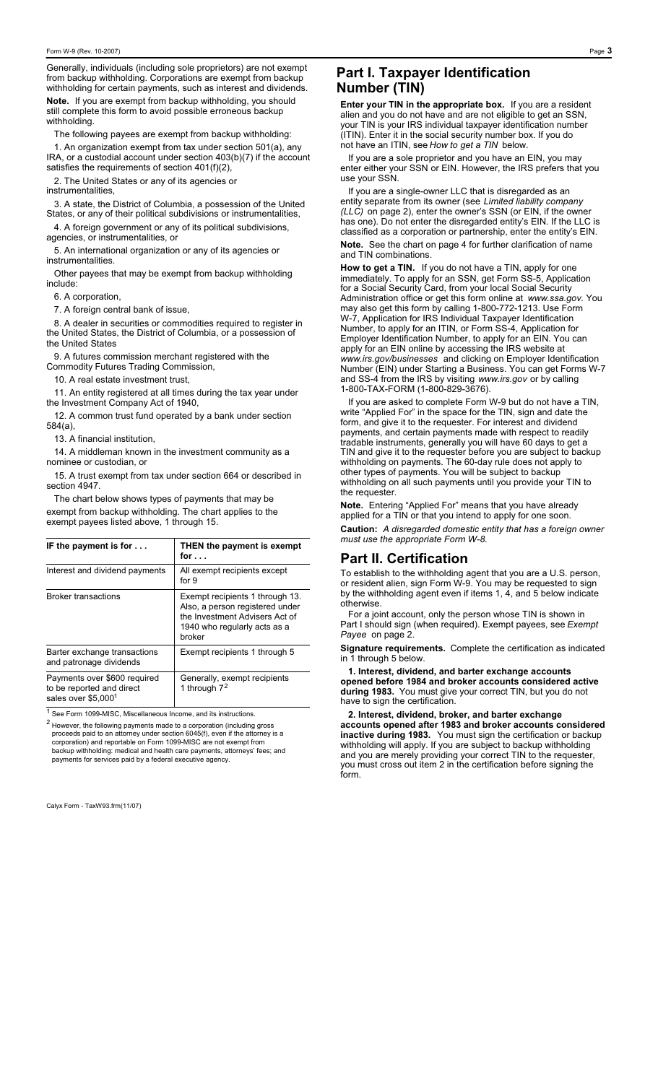Generally, individuals (including sole proprietors) are not exempt from backup withholding. Corporations are exempt from backup withholding for certain payments, such as interest and dividends.

Note. If you are exempt from backup withholding, you should<br>still assemble this farm to surid assail la exerce we hadwww. still complete this form to avoid possible erroneous backup withholding

The following payees are exempt from backup withholding:

1. An organization exempt from tax under section 501(a), any IRA, or a custodial account under section 403(b)(7) if the account satisfies the requirements of section 401(f)(2),

2. The United States or any of its agencies or instrumentalities,

3. A state, the District of Columbia, a possession of the United States, or any of their political subdivisions or instrumentalities,

4. A foreign government or any of its political subdivisions, agencies, or instrumentalities, or

5. An international organization or any of its agencies or instrumentalities.

Other payees that may be exempt from backup withholding include:

6. A corporation,

7. A foreign central bank of issue,

8. A dealer in securities or commodities required to register in the United States, the District of Columbia, or a possession of the United States

9. A futures commission merchant registered with the Commodity Futures Trading Commission,

10. A real estate investment trust,

11. An entity registered at all times during the tax year under the Investment Company Act of 1940,

12. A common trust fund operated by a bank under section 584(a),

13. A financial institution,

14. A middleman known in the investment community as a nominee or custodian, or

15. A trust exempt from tax under section 664 or described in section 4947.

The chart below shows types of payments that may be exempt from backup withholding. The chart applies to the exempt payees listed above, 1 through 15.

| IF the payment is for $\dots$                                                    | THEN the payment is exempt<br>for $\ldots$                                                                                                     |
|----------------------------------------------------------------------------------|------------------------------------------------------------------------------------------------------------------------------------------------|
| Interest and dividend payments                                                   | All exempt recipients except<br>for $9$                                                                                                        |
| <b>Broker transactions</b>                                                       | Exempt recipients 1 through 13.<br>Also, a person registered under<br>the Investment Advisers Act of<br>1940 who regularly acts as a<br>broker |
| Barter exchange transactions<br>and patronage dividends                          | Exempt recipients 1 through 5                                                                                                                  |
| Payments over \$600 required<br>to be reported and direct<br>sales over \$5,0001 | Generally, exempt recipients<br>1 through $72$                                                                                                 |

<sup>1</sup> See Form 1099-MISC, Miscellaneous Income, and its instructions.

 $2$  However, the following payments made to a corporation (including gross proceeds paid to an attorney under section 6045(f), even if the attorney is a corporation) and reportable on Form 1099-MISC are not exempt from backup withholding: medical and health care payments, attorneys' fees; and payments for services paid by a federal executive agency.

Calyx Form - TaxW93.frm(11/07)

# **Part I. Taxpayer Identification Number (TIN)**

Enter your TIN in the appropriate box. If you are a resident alien and you do not have and are not eligible to get an SSN, your TIN is your IRS individual taxpayer identification number (ITIN). Enter it in the social security number box. If you do not have an ITIN, see How to get a TIN below.

If you are a sole proprietor and you have an EIN, you may enter either your SSN or EIN. However, the IRS prefers that you use your SSN.

If you are a single-owner LLC that is disregarded as an entity separate from its owner (see *Limited liability company* (LLC) on page 2), enter the owner's SSN (or EIN, if the owner has one). Do not enter the disregarded entity's EIN. If the LLC is classified as a corporation or partnership, enter the entity's EIN. Note. See the chart on page 4 for further clarification of name and TIN combinations.

If you do not have a TIN, apply for one immediately. To apply for an SSN, get Form SS-5, Application for a Social Security Card, from your local Social Security Administration office or get this form online at www.ssa.gov. You may also get this form by calling 1-800-772-1213. Use Form W-7, Application for IRS Individual Taxpayer Identification Number, to apply for an ITIN, or Form SS-4, Application for Employer Identification Number, to apply for an EIN. You can apply for an EIN online by accessing the IRS website at www.irs.gov/businesses and clicking on Employer Identification Number (EIN) under Starting a Business. You can get Forms W-7 and SS-4 from the IRS by visiting www.irs.gov or by calling 1-800-TAX-FORM (1-800-829-3676). **How to get a TIN.**

If you are asked to complete Form W-9 but do not have a TIN, write "Applied For" in the space for the TIN, sign and date the form, and give it to the requester. For interest and dividend payments, and certain payments made with respect to readily tradable instruments, generally you will have 60 days to get a TIN and give it to the requester before you are subject to backup withholding on payments. The 60-day rule does not apply to other types of payments. You will be subject to backup withholding on all such payments until you provide your TIN to the requester.

Entering "Applied For" means that you have already applied for a TIN or that you intend to apply for one soon. *A disregarded domestic entity that has a foreign owner* **Caution:** *must use the appropriate Form W-8.* **Note.**

# **Part II. Certification**

To establish to the withholding agent that you are a U.S. person, or resident alien, sign Form W-9. You may be requested to sign by the withholding agent even if items 1, 4, and 5 below indicate otherwise.

Part I should sign (when required). Exempt payees, see Exempt *Payee* on page 2. For a joint account, only the person whose TIN is shown in

**Signature requirements.** Complete the certification as indicated in 1 through 5 below.

during 1983. You must give your correct TIN, but you do not have to sign the certification. **1. Interest, dividend, and barter exchange accounts opened before 1984 and broker accounts considered active**

You must sign the certification or backup withholding will apply. If you are subject to backup withholding and you are merely providing your correct TIN to the requester, you must cross out item 2 in the certification before signing the form. **2. Interest, dividend, broker, and barter exchange accounts opened after 1983 and broker accounts considered inactive during 1983.**